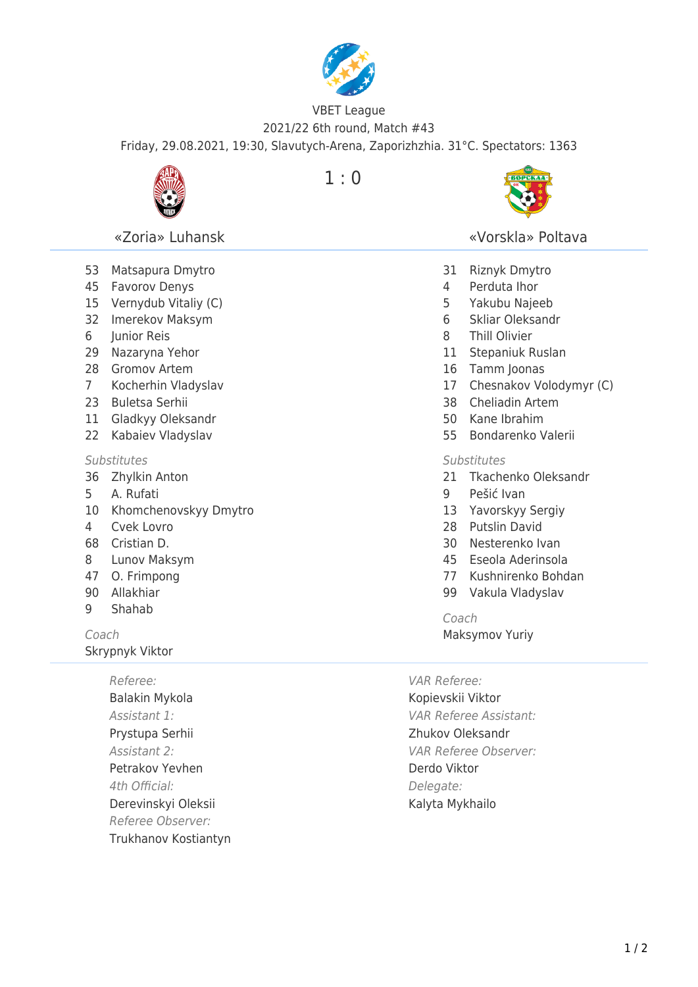

## VBET League 2021/22 6th round, Match #43 Friday, 29.08.2021, 19:30, Slavutych-Arena, Zaporizhzhia. 31°C. Spectators: 1363



«Zoria» Luhansk

 Matsapura Dmytro Favorov Denys Vernydub Vitaliy (C) Imerekov Maksym

 Junior Reis Nazaryna Yehor Gromov Artem Kocherhin Vladyslav

23 Buletsa Serhii 11 Gladkyy Oleksandr 22 Kabaiev Vladyslav

36 Zhylkin Anton 5 A. Rufati

 $1:0$ 



«Vorskla» Poltava

- 31 Riznyk Dmytro
	- 4 Perduta Ihor
	- 5 Yakubu Najeeb
	- 6 Skliar Oleksandr
	- 8 Thill Olivier
	- 11 Stepaniuk Ruslan
	- 16 Tamm Joonas
- 17 Chesnakov Volodymyr (C)
- 38 Cheliadin Artem
- 50 Kane Ibrahim
- 55 Bondarenko Valerii

## **Substitutes**

- 21 Tkachenko Oleksandr
- 9 Pešić Ivan
- 13 Yavorskyy Sergiy
- 28 Putslin David
- 30 Nesterenko Ivan
- 45 Eseola Aderinsola
- 77 Kushnirenko Bohdan
- 99 Vakula Vladyslav

Coach

Maksymov Yuriy

VAR Referee: Kopievskii Viktor VAR Referee Assistant: Zhukov Oleksandr VAR Referee Observer: Derdo Viktor Delegate: Kalyta Mykhailo

10 Khomchenovskyy Dmytro 4 Cvek Lovro

**Substitutes** 

- 68 Сristian D.
- 8 Lunov Maksym
- 47 O. Frimpong
- 90 Allakhiar
- 9 Shahab

Coach Skrypnyk Viktor

> Referee: Balakin Mykola Assistant 1: Prystupa Serhii Assistant 2: Petrakov Yevhen 4th Official: Derevinskyi Oleksii Referee Observer: Trukhanov Kostiantyn